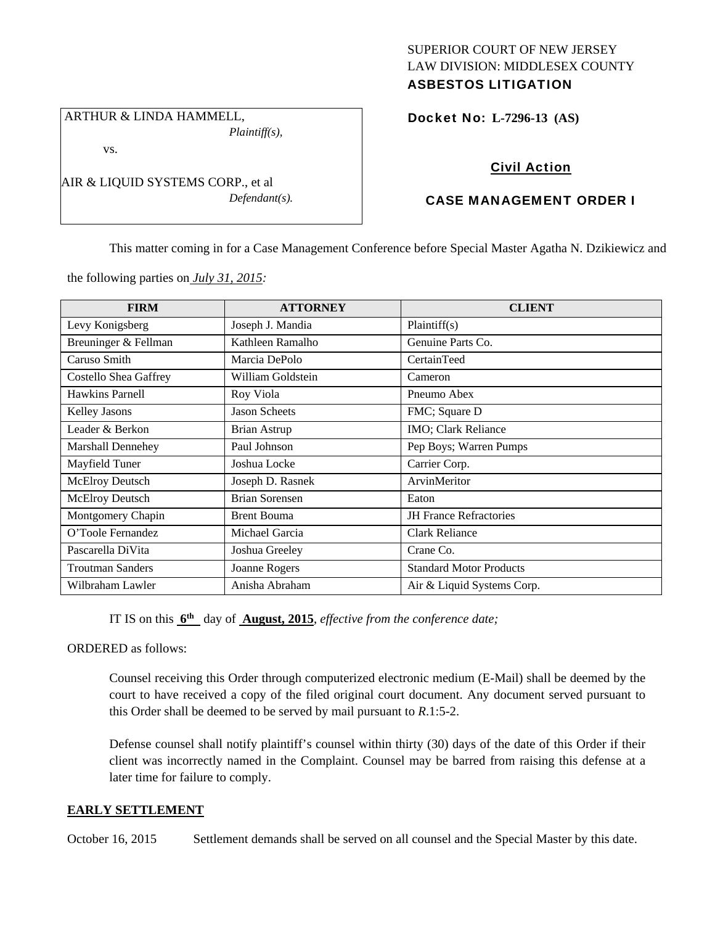### SUPERIOR COURT OF NEW JERSEY LAW DIVISION: MIDDLESEX COUNTY ASBESTOS LITIGATION

 ARTHUR & LINDA HAMMELL, *Plaintiff(s),* 

vs.

AIR & LIQUID SYSTEMS CORP., et al *Defendant(s).*  Docket No: **L-7296-13 (AS)** 

# Civil Action

## CASE MANAGEMENT ORDER I

This matter coming in for a Case Management Conference before Special Master Agatha N. Dzikiewicz and

the following parties on *July 31, 2015:* 

| <b>FIRM</b>                  | <b>ATTORNEY</b>       | <b>CLIENT</b>                  |
|------------------------------|-----------------------|--------------------------------|
| Levy Konigsberg              | Joseph J. Mandia      | Plaintiff(s)                   |
| Breuninger & Fellman         | Kathleen Ramalho      | Genuine Parts Co.              |
| Caruso Smith                 | Marcia DePolo         | CertainTeed                    |
| <b>Costello Shea Gaffrey</b> | William Goldstein     | Cameron                        |
| Hawkins Parnell              | Roy Viola             | Pneumo Abex                    |
| <b>Kelley Jasons</b>         | <b>Jason Scheets</b>  | FMC; Square D                  |
| Leader & Berkon              | <b>Brian Astrup</b>   | IMO; Clark Reliance            |
| Marshall Dennehey            | Paul Johnson          | Pep Boys; Warren Pumps         |
| Mayfield Tuner               | Joshua Locke          | Carrier Corp.                  |
| <b>McElroy Deutsch</b>       | Joseph D. Rasnek      | ArvinMeritor                   |
| <b>McElroy Deutsch</b>       | <b>Brian Sorensen</b> | Eaton                          |
| Montgomery Chapin            | <b>Brent Bouma</b>    | <b>JH</b> France Refractories  |
| O'Toole Fernandez            | Michael Garcia        | Clark Reliance                 |
| Pascarella DiVita            | Joshua Greeley        | Crane Co.                      |
| <b>Troutman Sanders</b>      | Joanne Rogers         | <b>Standard Motor Products</b> |
| Wilbraham Lawler             | Anisha Abraham        | Air & Liquid Systems Corp.     |

IT IS on this **6th** day of **August, 2015**, *effective from the conference date;*

ORDERED as follows:

Counsel receiving this Order through computerized electronic medium (E-Mail) shall be deemed by the court to have received a copy of the filed original court document. Any document served pursuant to this Order shall be deemed to be served by mail pursuant to *R*.1:5-2.

Defense counsel shall notify plaintiff's counsel within thirty (30) days of the date of this Order if their client was incorrectly named in the Complaint. Counsel may be barred from raising this defense at a later time for failure to comply.

### **EARLY SETTLEMENT**

October 16, 2015 Settlement demands shall be served on all counsel and the Special Master by this date.